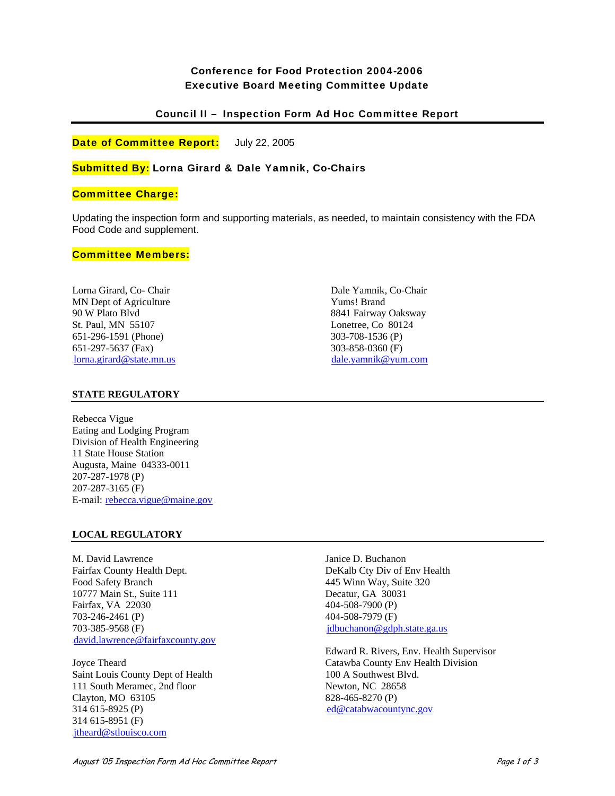# Conference for Food Protection 2004-2006 Executive Board Meeting Committee Update

## Council II – Inspection Form Ad Hoc Committee Report

Date of Committee Report: July 22, 2005

## Submitted By: Lorna Girard & Dale Yamnik, Co-Chairs

## Committee Charge:

Updating the inspection form and supporting materials, as needed, to maintain consistency with the FDA Food Code and supplement.

### Committee Members:

Lorna Girard, Co- Chair MN Dept of Agriculture 90 W Plato Blvd St. Paul, MN 55107 651-296-1591 (Phone) 651-297-5637 (Fax)  $Iorna.girard@state.mn.us$  Dale Yamnik, Co-Chair Yums! Brand 8841 Fairway Oaksway Lonetree, Co 80124 303-708-1536 (P) 303-858-0360 (F) dale.yamnik@yum.com

### **STATE REGULATORY**

Rebecca Vigue Eating and Lodging Program Division of Health Engineering 11 State House Station Augusta, Maine 04333-0011 207-287-1978 (P) 207-287-3165 (F) E-mail: rebecca.vigue@maine.gov

### **LOCAL REGULATORY**

M. David Lawrence Fairfax County Health Dept. Food Safety Branch 10777 Main St., Suite 111 Fairfax, VA 22030 703-246-2461 (P) 703-385-9568 (F) david.lawrence@fairfaxcounty.gov

Joyce Theard Saint Louis County Dept of Health 111 South Meramec, 2nd floor Clayton, MO 63105 314 615-8925 (P) 314 615-8951 (F) .jtheard@stlouisco.com

Janice D. Buchanon DeKalb Cty Div of Env Health 445 Winn Way, Suite 320 Decatur, GA 30031 404-508-7900 (P) 404-508-7979 (F)  $idbuchanon@gdph.state.ga.us$ 

Edward R. Rivers, Env. Health Supervisor Catawba County Env Health Division 100 A Southwest Blvd. Newton, NC 28658 828-465-8270 (P)  $ed@catabwacountync.gov$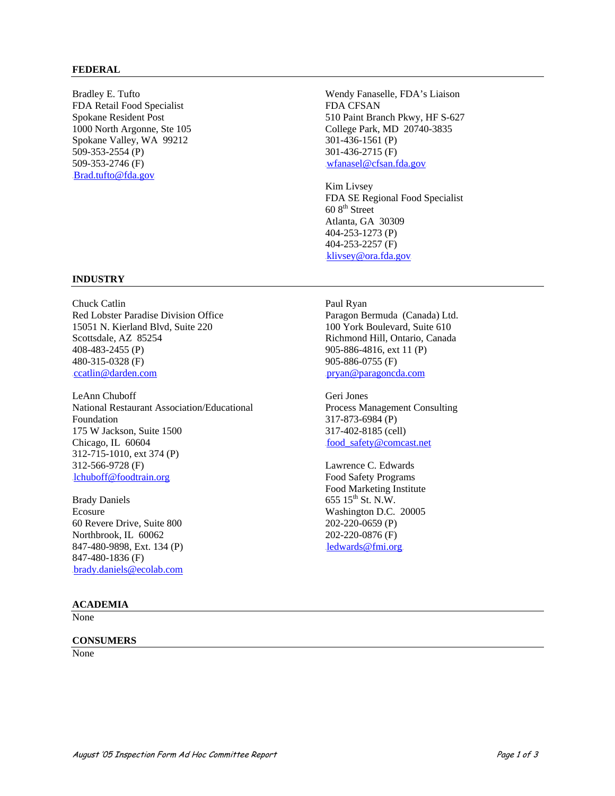### **FEDERAL**

Bradley E. Tufto FDA Retail Food Specialist Spokane Resident Post 1000 North Argonne, Ste 105 Spokane Valley, WA 99212 509-353-2554 (P) 509-353-2746 (F) Brad.tufto@fda.gov.

Wendy Fanaselle, FDA's Liaison FDA CFSAN 510 Paint Branch Pkwy, HF S-627 College Park, MD 20740-3835 301-436-1561 (P) 301-436-2715 (F)  $w$ fanasel@cfsan.fda.gov

Kim Livsey FDA SE Regional Food Specialist  $608^{\text{th}}$  Street Atlanta, GA 30309 404-253-1273 (P) 404-253-2257 (F) klivsey@ora.fda.gov

#### **INDUSTRY**

Chuck Catlin Red Lobster Paradise Division Office 15051 N. Kierland Blvd, Suite 220 Scottsdale, AZ 85254 408-483-2455 (P) 480-315-0328 (F) .ccatlin@darden.com

LeAnn Chuboff National Restaurant Association/Educational Foundation 175 W Jackson, Suite 1500 Chicago, IL 60604 312-715-1010, ext 374 (P) 312-566-9728 (F) lchuboff@foodtrain.org

Brady Daniels Ecosure 60 Revere Drive, Suite 800 Northbrook, IL 60062 847-480-9898, Ext. 134 (P) 847-480-1836 (F) brady.daniels@ecolab.com

#### **ACADEMIA**

None

#### **CONSUMERS**

None

Paul Ryan

Paragon Bermuda (Canada) Ltd. 100 York Boulevard, Suite 610 Richmond Hill, Ontario, Canada 905-886-4816, ext 11 (P) 905-886-0755 (F) pryan@paragoncda.com

Geri Jones Process Management Consulting 317-873-6984 (P) 317-402-8185 (cell) food\_safety@comcast.net

Lawrence C. Edwards Food Safety Programs Food Marketing Institute 655  $15^{th}$  St. N.W. Washington D.C. 20005 202-220-0659 (P) 202-220-0876 (F)  $ledwards@fmi.org$